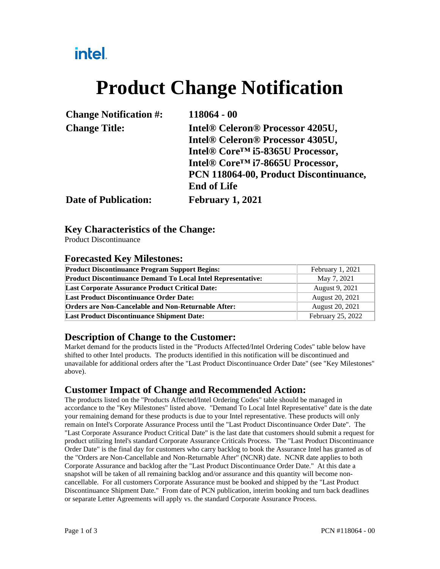## intel.

# **Product Change Notification**

| 118064 - 00                                   |
|-----------------------------------------------|
| Intel® Celeron® Processor 4205U,              |
| Intel® Celeron® Processor 4305U,              |
| Intel® Core <sup>TM</sup> i5-8365U Processor, |
| Intel® Core <sup>TM</sup> i7-8665U Processor, |
| PCN 118064-00, Product Discontinuance,        |
| <b>End of Life</b>                            |
| <b>February 1, 2021</b>                       |
|                                               |

#### **Key Characteristics of the Change:**

Product Discontinuance

#### **Forecasted Key Milestones:**

| <b>Product Discontinuance Program Support Begins:</b>               | February 1, 2021  |
|---------------------------------------------------------------------|-------------------|
| <b>Product Discontinuance Demand To Local Intel Representative:</b> | May 7, 2021       |
| <b>Last Corporate Assurance Product Critical Date:</b>              | August 9, 2021    |
| <b>Last Product Discontinuance Order Date:</b>                      | August 20, 2021   |
| <b>Orders are Non-Cancelable and Non-Returnable After:</b>          | August 20, 2021   |
| <b>Last Product Discontinuance Shipment Date:</b>                   | February 25, 2022 |

#### **Description of Change to the Customer:**

Market demand for the products listed in the "Products Affected/Intel Ordering Codes" table below have shifted to other Intel products. The products identified in this notification will be discontinued and unavailable for additional orders after the "Last Product Discontinuance Order Date" (see "Key Milestones" above).

#### **Customer Impact of Change and Recommended Action:**

The products listed on the "Products Affected/Intel Ordering Codes" table should be managed in accordance to the "Key Milestones" listed above. "Demand To Local Intel Representative" date is the date your remaining demand for these products is due to your Intel representative. These products will only remain on Intel's Corporate Assurance Process until the "Last Product Discontinuance Order Date". The "Last Corporate Assurance Product Critical Date" is the last date that customers should submit a request for product utilizing Intel's standard Corporate Assurance Criticals Process. The "Last Product Discontinuance Order Date" is the final day for customers who carry backlog to book the Assurance Intel has granted as of the "Orders are Non-Cancellable and Non-Returnable After" (NCNR) date. NCNR date applies to both Corporate Assurance and backlog after the "Last Product Discontinuance Order Date." At this date a snapshot will be taken of all remaining backlog and/or assurance and this quantity will become noncancellable. For all customers Corporate Assurance must be booked and shipped by the "Last Product Discontinuance Shipment Date." From date of PCN publication, interim booking and turn back deadlines or separate Letter Agreements will apply vs. the standard Corporate Assurance Process.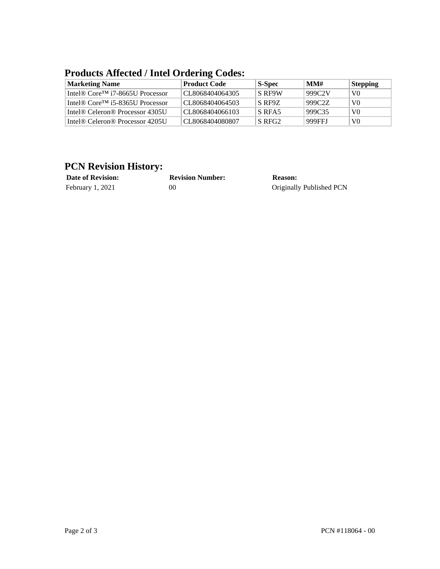| <b>Marketing Name</b>                                    | <b>Product Code</b> | S-Spec        | MM#    | <b>Stepping</b> |
|----------------------------------------------------------|---------------------|---------------|--------|-----------------|
| Intel® Core <sup>™</sup> i7-8665U Processor              | CL8068404064305     | <b>S RF9W</b> | 999C2V | V <sub>0</sub>  |
| Intel <sup>®</sup> Core <sup>TM</sup> i5-8365U Processor | CL8068404064503     | S RF9Z        | 999C2Z | V <sub>0</sub>  |
| Intel <sup>®</sup> Celeron <sup>®</sup> Processor 4305U  | CL8068404066103     | S RFA5        | 999C35 | V <sub>0</sub>  |
| Intel <sup>®</sup> Celeron <sup>®</sup> Processor 4205U  | CL8068404080807     | S RFG2        | 999FFI | V <sub>0</sub>  |

### **Products Affected / Intel Ordering Codes:**

### **PCN Revision History:**

| <b>Date of Revision:</b> | <b>Revision Number:</b> | Reason:                  |
|--------------------------|-------------------------|--------------------------|
| February 1, 2021         | 00                      | Originally Published PCN |